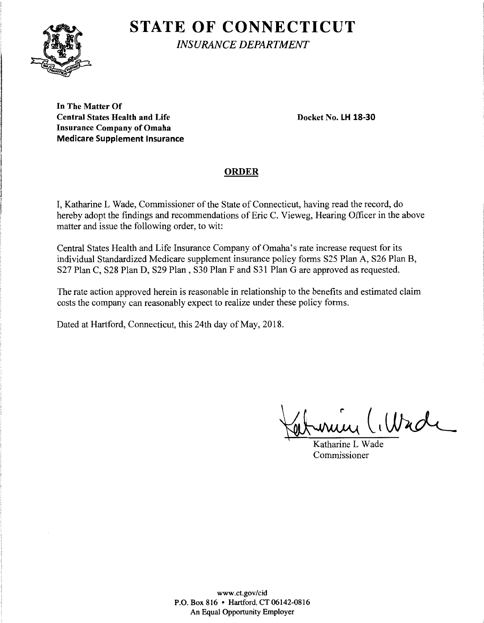# **STATE OF CONNECTICUT**



*INSURANCE DEPARTMENT* 

**In The Matter Of Central States Health and Life Docket No. LH 18-30 Insurance Company of Omaha Medicare Supplement Insurance** 

## **ORDER**

I, Katharine L Wade, Commissioner of the State of Connecticut, having read the record, do hereby adopt the findings and recommendations of Eric C. Vieweg, Hearing Officer in the above matter and issue the following order, to wit:

Central States Health and Life Insurance Company of Omaha's rate increase request for its individual Standardized Medicare supplement insurance policy forms S25 Plan A, S26 Plan B, S27 Plan C, S28 Plan D, S29 Plan, S30 Plan F and S31 Plan G are approved as requested.

The rate action approved herein is reasonable in relationship to the benefits and estimated claim costs the company can reasonably expect to realize under these policy forms.

Dated at Hartford, Connecticut, this 24th day of May, 2018.

write (Wade

Commissioner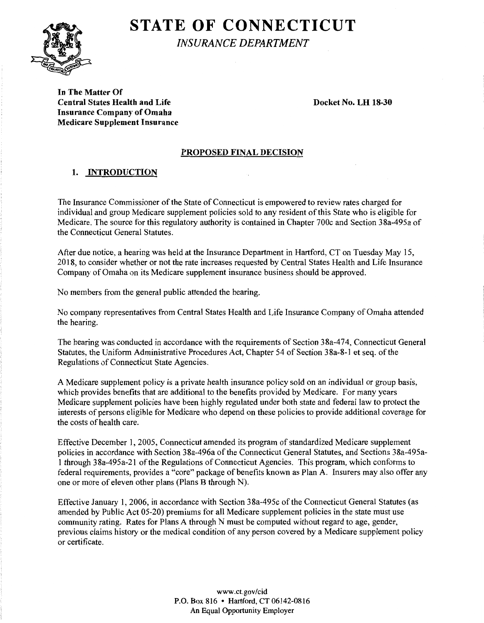# **STATE OF CONNECTICUT**



*INSURANCE DEPARTMENT* 

**In The Matter Of Central States Health and Life Docket No. LH 18-30 Insurance Company of Omaha Medicare Supplement Insurance** 

#### **PROPOSED FINAL DECISION**

### **1. INTRODUCTION**

The Insurance Commissioner of the State of Connecticut is empowered to review rates charged for individual and group Medicare supplement policies sold to any resident of this State who is eligible for Medicare. The source for this regulatory authority is contained in Chapter 700c and Section 38a-495a of the Connecticut General Statutes.

After due notice, a hearing was held at the Insurance Department in Hartford, CT on Tuesday May 15, 2018, to consider whether or not the rate increases requested by Central States Health and Life Insurance Company of Omaha on its Medicare supplement insurance business should be approved.

No members from the general public attended the hearing.

No company representatives from Central States Health and Life Insurance Company of Omaha attended the hearing.

The hearing was conducted in accordance with the requirements of Section 38a-474, Connecticut General Statutes, the Uniform Administrative Procedures Act, Chapter 54 of Section 38a-8-1 et seq. of the Regulations of Connecticut State Agencies.

A Medicare supplement policy is a private health insurance policy sold on an individual or group basis, which provides benefits that are additional to the benefits provided by Medicare. For many years Medicare supplement policies have been highly regulated under both state and federal law to protect the interests of persons eligible for Medicare who depend on these policies to provide additional coverage for the costs of health care.

Effective December 1, 2005, Connecticut amended its program of standardized Medicare supplement policies in accordance with Section 38a-496a of the Connecticut General Statutes, and Sections 38a-495a-1 through 38a-495a-21 of the Regulations of Connecticut Agencies. This program, which conforms to federal requirements, provides a "core" package of benefits known as Plan A. Insurers may also offer any one or more of eleven other plans (Plans B through N).

Effective January 1, 2006, in accordance with Section 38a-495c of the Connecticut General Statutes (as amended by Public Act 05-20) premiums for all Medicare supplement policies in the state must use community rating. Rates for Plans A through N must be computed without regard to age, gender, previous claims history or the medical condition of any person covered by a Medicare supplement policy or certificate.

> www.ct.gov/cid P.O. Box 816 • Hartford, CT 06142-0816 An Equal Opportunity Employer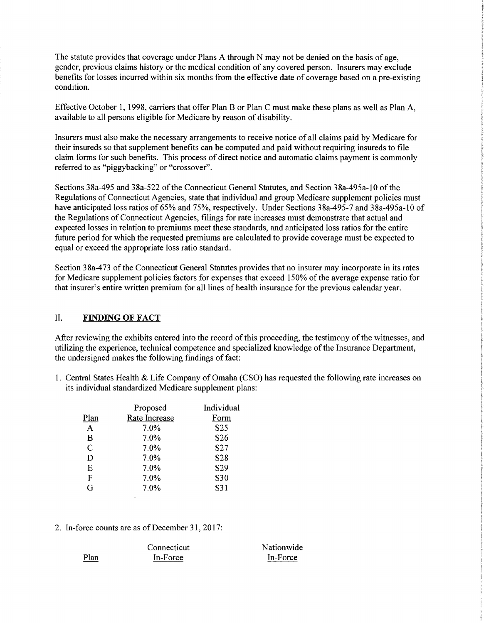The statute provides that coverage under Plans A through N may not be denied on the basis of age, gender, previous claims history or the medical condition of any covered person. Insurers may exclude benefits for losses incurred within six months from the effective date of coverage based on a pre-existing condition.

Effective October 1, 1998, carriers that offer Plan B or Plan C must make these plans as well as Plan A, available to all persons eligible for Medicare by reason of disability.

Insurers must also make the necessary arrangements to receive notice of all claims paid by Medicare for their insureds so that supplement benefits can be computed and paid without requiring insureds to file claim forms for such benefits. This process of direct notice and automatic claims payment is commonly referred to as "piggybacking" or "crossover".

Sections 38a-495 and 38a-522 of the Connecticut General Statutes, and Section 38a-495a-10 of the Regulations of Connecticut Agencies, state that individual and group Medicare supplement policies must have anticipated loss ratios of 65% and 75%, respectively. Under Sections 38a-495-7 and 38a-495a-10 of the Regulations of Connecticut Agencies, filings for rate increases must demonstrate that actual and expected losses in relation to premiums meet these standards, and anticipated loss ratios for the entire future period for which the requested premiums are calculated to provide coverage must be expected to equal or exceed the appropriate loss ratio standard.

Section 38a-473 of the Connecticut General Statutes provides that no insurer may incorporate in its rates for Medicare supplement policies factors for expenses that exceed 150% of the average expense ratio for that insurer's entire written premium for all lines of health insurance for the previous calendar year.

#### IL **FINDING OF FACT**

After reviewing the exhibits entered into the record of this proceeding, the testimony of the witnesses, and utilizing the experience, technical competence and specialized knowledge ofthe Insurance Department, the undersigned makes the following findings of fact:

1. Central States Health & Life Company of Omaha (CSO) has requested the following rate increases on its individual standardized Medicare supplement plans:

|               | Proposed      | Individual      |
|---------------|---------------|-----------------|
| Plan          | Rate Increase | Form            |
| A             | 7.0%          | S <sub>25</sub> |
| B             | 7.0%          | S <sub>26</sub> |
| $\mathcal{C}$ | 7.0%          | S27             |
| D             | 7.0%          | S28             |
| Ε             | 7.0%          | S <sub>29</sub> |
| F             | 7.0%          | S30             |
| G             | 7.0%          | S31             |
|               |               |                 |

2. In-force counts are as of December 31, 2017:

|      | Connecticut | Nationwide |
|------|-------------|------------|
| Plan | $In-Force$  | In-Force   |